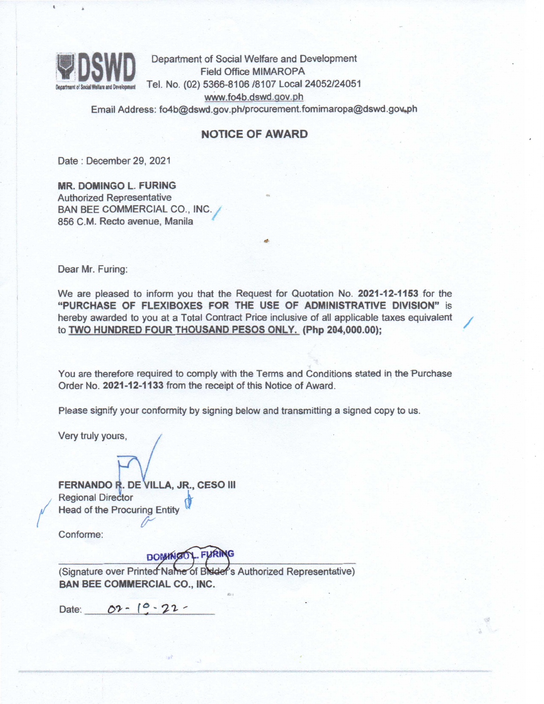

Department of Social Welfare and Development<br>Field Office MIMAROPA Tel. No. (02) 5366-8106 /8107 Local 24052/24051 wWw.f04b.dswd.gov.ph

Email Address: fo4b@dswd.gov.ph/procurement.fomimaropa@dswd.gov.ph

## NOTICE OF AWARD

Date: December 29, 2021

MR. DOMINGO L. FURING Authorized Representative BAN BEE COMMERCIAL CO., INC.; 856 C.M. Recto avenue, Manila

Dear Mr. Furing:

We are pleased to inform you that the Request for Quotation No. 2021-12-1153 for the "PURCHASE OF FLEXIBOXES FOR THE USE OF ADMINISTRATIVE DIVISION" is hereby awarded to you at a Total Contract Price inclusive of all applicable taxes equivalent to TWO HUNDRED FOUR THOUSAND PESOS ONLY. (Php 204,000.00);

You are therefore required to comply with the Terms and Conditions stated in the Purchase Order No. 2021-12-1133 from the receipt of this Notice of Award.

Please signify your conformity by signing below and transmitting a signed copy to us.

Very truly yours,

**FERNANDO R. DE VILLA, JR., CESO III**<br>Regional Director Regional Director<br>Head of the Procuring Entity

Conforme:

## DOMINGOL. FURING

(Signature over Printed Name of Bidder's Authorized Representative) BAN BEE COMMERCIAL CO., INC.

""

Date:  $O2 - 10 - 22$